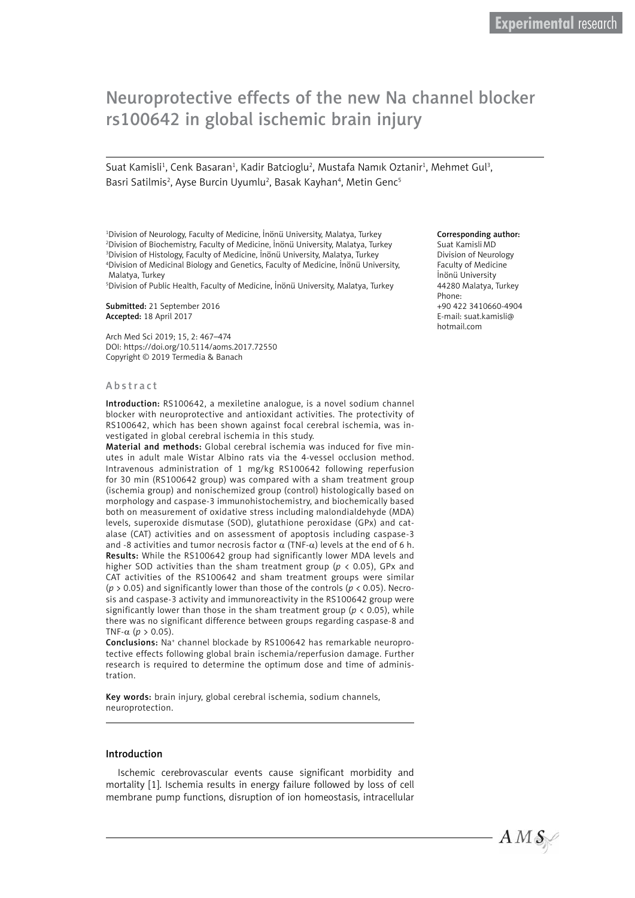# Neuroprotective effects of the new Na channel blocker rs100642 in global ischemic brain injury

Suat Kamisli<sup>1</sup>, Cenk Basaran<sup>1</sup>, Kadir Batcioglu<sup>2</sup>, Mustafa Namık Oztanir<sup>1</sup>, Mehmet Gul<sup>3</sup>, Basri Satilmis<sup>2</sup>, Ayse Burcin Uyumlu<sup>2</sup>, Basak Kayhan<sup>4</sup>, Metin Genc<sup>5</sup>

 Division of Neurology, Faculty of Medicine, İnönü University, Malatya, Turkey Division of Biochemistry, Faculty of Medicine, İnönü University, Malatya, Turkey Division of Histology, Faculty of Medicine, İnönü University, Malatya, Turkey Division of Medicinal Biology and Genetics, Faculty of Medicine, İnönü University, Malatya, Turkey

5 Division of Public Health, Faculty of Medicine, İnönü University, Malatya, Turkey

Submitted: 21 September 2016 Accepted: 18 April 2017

Arch Med Sci 2019; 15, 2: 467–474 DOI: https://doi.org/10.5114/aoms.2017.72550 Copyright © 2019 Termedia & Banach

#### Abstract

Introduction: RS100642, a mexiletine analogue, is a novel sodium channel blocker with neuroprotective and antioxidant activities. The protectivity of RS100642, which has been shown against focal cerebral ischemia, was investigated in global cerebral ischemia in this study.

Material and methods: Global cerebral ischemia was induced for five minutes in adult male Wistar Albino rats via the 4-vessel occlusion method. Intravenous administration of 1 mg/kg RS100642 following reperfusion for 30 min (RS100642 group) was compared with a sham treatment group (ischemia group) and nonischemized group (control) histologically based on morphology and caspase-3 immunohistochemistry, and biochemically based both on measurement of oxidative stress including malondialdehyde (MDA) levels, superoxide dismutase (SOD), glutathione peroxidase (GPx) and catalase (CAT) activities and on assessment of apoptosis including caspase-3 and -8 activities and tumor necrosis factor  $\alpha$  (TNF- $\alpha$ ) levels at the end of 6 h. Results: While the RS100642 group had significantly lower MDA levels and higher SOD activities than the sham treatment group (*p* < 0.05), GPx and CAT activities of the RS100642 and sham treatment groups were similar (*p* > 0.05) and significantly lower than those of the controls (*p* < 0.05). Necrosis and caspase-3 activity and immunoreactivity in the RS100642 group were significantly lower than those in the sham treatment group ( $p < 0.05$ ), while there was no significant difference between groups regarding caspase-8 and TNF-α (*p* > 0.05).

Conclusions: Na<sup>+</sup> channel blockade by RS100642 has remarkable neuroprotective effects following global brain ischemia/reperfusion damage. Further research is required to determine the optimum dose and time of administration.

Key words: brain injury, global cerebral ischemia, sodium channels, neuroprotection.

### Introduction

Ischemic cerebrovascular events cause significant morbidity and mortality [1]. Ischemia results in energy failure followed by loss of cell membrane pump functions, disruption of ion homeostasis, intracellular

#### Corresponding author:

Suat Kamisli MD Division of Neurology Faculty of Medicine İnönü University 44280 Malatya, Turkey Phone: +90 422 3410660-4904 E-mail: [suat.kamisli@](mailto:suat.kamisli@hotmail.com) [hotmail.com](mailto:suat.kamisli@hotmail.com)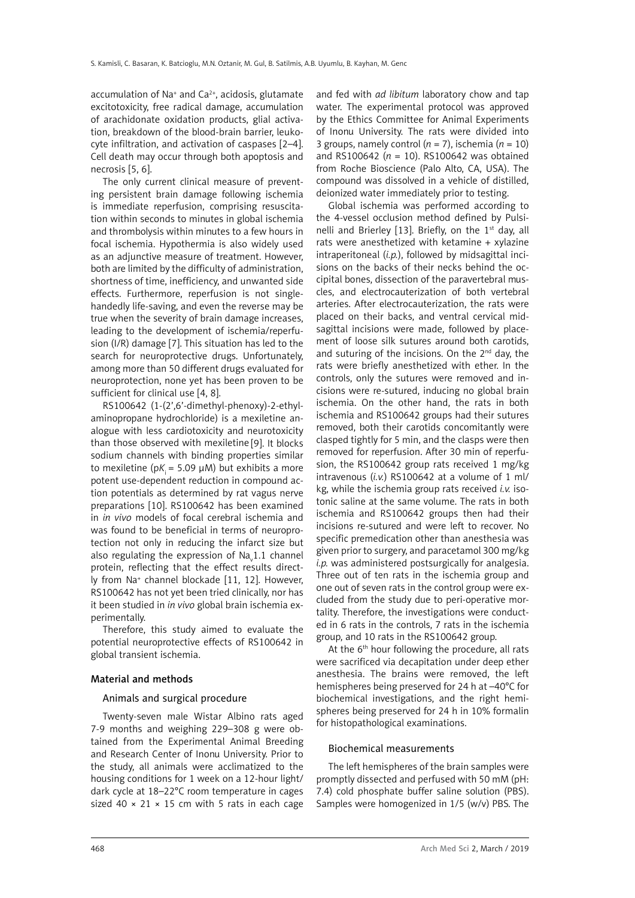accumulation of Na<sup>+</sup> and Ca<sup>2+</sup>, acidosis, glutamate excitotoxicity, free radical damage, accumulation of arachidonate oxidation products, glial activation, breakdown of the blood-brain barrier, leukocyte infiltration, and activation of caspases [2–4]. Cell death may occur through both apoptosis and necrosis [5, 6].

The only current clinical measure of preventing persistent brain damage following ischemia is immediate reperfusion, comprising resuscitation within seconds to minutes in global ischemia and thrombolysis within minutes to a few hours in focal ischemia. Hypothermia is also widely used as an adjunctive measure of treatment. However, both are limited by the difficulty of administration, shortness of time, inefficiency, and unwanted side effects. Furthermore, reperfusion is not singlehandedly life-saving, and even the reverse may be true when the severity of brain damage increases, leading to the development of ischemia/reperfusion (I/R) damage [7]. This situation has led to the search for neuroprotective drugs. Unfortunately, among more than 50 different drugs evaluated for neuroprotection, none yet has been proven to be sufficient for clinical use [4, 8].

RS100642 (1-(2',6'-dimethyl-phenoxy)-2-ethylaminopropane hydrochloride) is a mexiletine analogue with less cardiotoxicity and neurotoxicity than those observed with mexiletine [9]. It blocks sodium channels with binding properties similar to mexiletine ( $pK_i$  = 5.09  $\mu$ M) but exhibits a more potent use-dependent reduction in compound action potentials as determined by rat vagus nerve preparations [10]. RS100642 has been examined in *in vivo* models of focal cerebral ischemia and was found to be beneficial in terms of neuroprotection not only in reducing the infarct size but also regulating the expression of Na $_{\mathrm{v}}$ 1.1 channel protein, reflecting that the effect results directly from Na+ channel blockade [11, 12]. However, RS100642 has not yet been tried clinically, nor has it been studied in *in vivo* global brain ischemia experimentally.

Therefore, this study aimed to evaluate the potential neuroprotective effects of RS100642 in global transient ischemia.

## Material and methods

## Animals and surgical procedure

Twenty-seven male Wistar Albino rats aged 7-9 months and weighing 229–308 g were obtained from the Experimental Animal Breeding and Research Center of Inonu University. Prior to the study, all animals were acclimatized to the housing conditions for 1 week on a 12-hour light/ dark cycle at 18–22°C room temperature in cages sized 40  $\times$  21  $\times$  15 cm with 5 rats in each cage and fed with *ad libitum* laboratory chow and tap water. The experimental protocol was approved by the Ethics Committee for Animal Experiments of Inonu University. The rats were divided into 3 groups, namely control ( $n = 7$ ), ischemia ( $n = 10$ ) and RS100642 (*n* = 10). RS100642 was obtained from Roche Bioscience (Palo Alto, CA, USA). The compound was dissolved in a vehicle of distilled, deionized water immediately prior to testing.

Global ischemia was performed according to the 4-vessel occlusion method defined by Pulsinelli and Brierley [13]. Briefly, on the  $1<sup>st</sup>$  day, all rats were anesthetized with ketamine + xylazine intraperitoneal (*i.p.*), followed by midsagittal incisions on the backs of their necks behind the occipital bones, dissection of the paravertebral muscles, and electrocauterization of both vertebral arteries. After electrocauterization, the rats were placed on their backs, and ventral cervical midsagittal incisions were made, followed by placement of loose silk sutures around both carotids, and suturing of the incisions. On the  $2<sup>nd</sup>$  day, the rats were briefly anesthetized with ether. In the controls, only the sutures were removed and incisions were re-sutured, inducing no global brain ischemia. On the other hand, the rats in both ischemia and RS100642 groups had their sutures removed, both their carotids concomitantly were clasped tightly for 5 min, and the clasps were then removed for reperfusion. After 30 min of reperfusion, the RS100642 group rats received 1 mg/kg intravenous (*i.v.*) RS100642 at a volume of 1 ml/ kg, while the ischemia group rats received *i.v.* isotonic saline at the same volume. The rats in both ischemia and RS100642 groups then had their incisions re-sutured and were left to recover. No specific premedication other than anesthesia was given prior to surgery, and paracetamol 300 mg/kg *i.p.* was administered postsurgically for analgesia. Three out of ten rats in the ischemia group and one out of seven rats in the control group were excluded from the study due to peri-operative mortality. Therefore, the investigations were conducted in 6 rats in the controls, 7 rats in the ischemia group, and 10 rats in the RS100642 group.

At the 6<sup>th</sup> hour following the procedure, all rats were sacrificed via decapitation under deep ether anesthesia. The brains were removed, the left hemispheres being preserved for 24 h at –40°C for biochemical investigations, and the right hemispheres being preserved for 24 h in 10% formalin for histopathological examinations.

## Biochemical measurements

The left hemispheres of the brain samples were promptly dissected and perfused with 50 mM (pH: 7.4) cold phosphate buffer saline solution (PBS). Samples were homogenized in 1/5 (w/v) PBS. The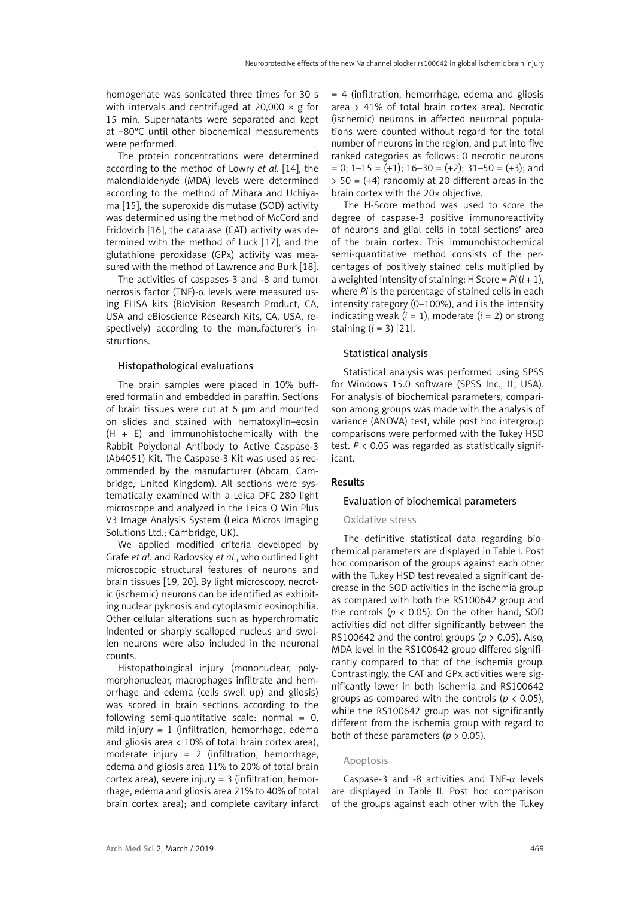homogenate was sonicated three times for 30 s with intervals and centrifuged at 20,000  $\times$  g for 15 min. Supernatants were separated and kept at –80°C until other biochemical measurements were performed.

The protein concentrations were determined according to the method of Lowry *et al.* [14], the malondialdehyde (MDA) levels were determined according to the method of Mihara and Uchiyama [15], the superoxide dismutase (SOD) activity was determined using the method of McCord and Fridovich [16], the catalase (CAT) activity was determined with the method of Luck [17], and the glutathione peroxidase (GPx) activity was measured with the method of Lawrence and Burk [18].

The activities of caspases-3 and -8 and tumor necrosis factor (TNF)-α levels were measured using ELISA kits (BioVision Research Product, CA, USA and eBioscience Research Kits, CA, USA, respectively) according to the manufacturer's instructions.

## Histopathological evaluations

The brain samples were placed in 10% buffered formalin and embedded in paraffin. Sections of brain tissues were cut at 6 um and mounted on slides and stained with hematoxylin–eosin  $(H + E)$  and immunohistochemically with the Rabbit Polyclonal Antibody to Active Caspase-3 (Ab4051) Kit. The Caspase-3 Kit was used as recommended by the manufacturer (Abcam, Cambridge, United Kingdom). All sections were systematically examined with a Leica DFC 280 light microscope and analyzed in the Leica Q Win Plus V3 Image Analysis System (Leica Micros Imaging Solutions Ltd.; Cambridge, UK).

We applied modified criteria developed by Grafe *et al.* and Radovsky *et al.*, who outlined light microscopic structural features of neurons and brain tissues [19, 20]. By light microscopy, necrotic (ischemic) neurons can be identified as exhibiting nuclear pyknosis and cytoplasmic eosinophilia. Other cellular alterations such as hyperchromatic indented or sharply scalloped nucleus and swollen neurons were also included in the neuronal counts.

Histopathological injury (mononuclear, polymorphonuclear, macrophages infiltrate and hemorrhage and edema (cells swell up) and gliosis) was scored in brain sections according to the following semi-quantitative scale: normal =  $0$ , mild injury =  $1$  (infiltration, hemorrhage, edema and gliosis area < 10% of total brain cortex area), moderate injury = 2 (infiltration, hemorrhage, edema and gliosis area 11% to 20% of total brain cortex area), severe injury = 3 (infiltration, hemorrhage, edema and gliosis area 21% to 40% of total brain cortex area); and complete cavitary infarct = 4 (infiltration, hemorrhage, edema and gliosis area > 41% of total brain cortex area). Necrotic (ischemic) neurons in affected neuronal populations were counted without regard for the total number of neurons in the region, and put into five ranked categories as follows: 0 necrotic neurons  $= 0$ ; 1–15  $= (+1)$ ; 16–30  $= (+2)$ ; 31–50  $= (+3)$ ; and  $>$  50 = (+4) randomly at 20 different areas in the brain cortex with the 20× objective.

The H-Score method was used to score the degree of caspase-3 positive immunoreactivity of neurons and glial cells in total sections' area of the brain cortex. This immunohistochemical semi-quantitative method consists of the percentages of positively stained cells multiplied by a weighted intensity of staining: H Score =  $Pi(i + 1)$ , where *Pi* is the percentage of stained cells in each intensity category (0–100%), and i is the intensity indicating weak  $(i = 1)$ , moderate  $(i = 2)$  or strong staining (*i* = 3) [21].

## Statistical analysis

Statistical analysis was performed using SPSS for Windows 15.0 software (SPSS Inc., IL, USA). For analysis of biochemical parameters, comparison among groups was made with the analysis of variance (ANOVA) test, while post hoc intergroup comparisons were performed with the Tukey HSD test.  $P < 0.05$  was regarded as statistically significant.

# Results

## Evaluation of biochemical parameters

## Oxidative stress

The definitive statistical data regarding biochemical parameters are displayed in Table I. Post hoc comparison of the groups against each other with the Tukey HSD test revealed a significant decrease in the SOD activities in the ischemia group as compared with both the RS100642 group and the controls ( $p \lt 0.05$ ). On the other hand, SOD activities did not differ significantly between the RS100642 and the control groups (*p* > 0.05). Also, MDA level in the RS100642 group differed significantly compared to that of the ischemia group. Contrastingly, the CAT and GPx activities were significantly lower in both ischemia and RS100642 groups as compared with the controls (*p* < 0.05), while the RS100642 group was not significantly different from the ischemia group with regard to both of these parameters ( $p > 0.05$ ).

## Apoptosis

Caspase-3 and -8 activities and TNF- $\alpha$  levels are displayed in Table II. Post hoc comparison of the groups against each other with the Tukey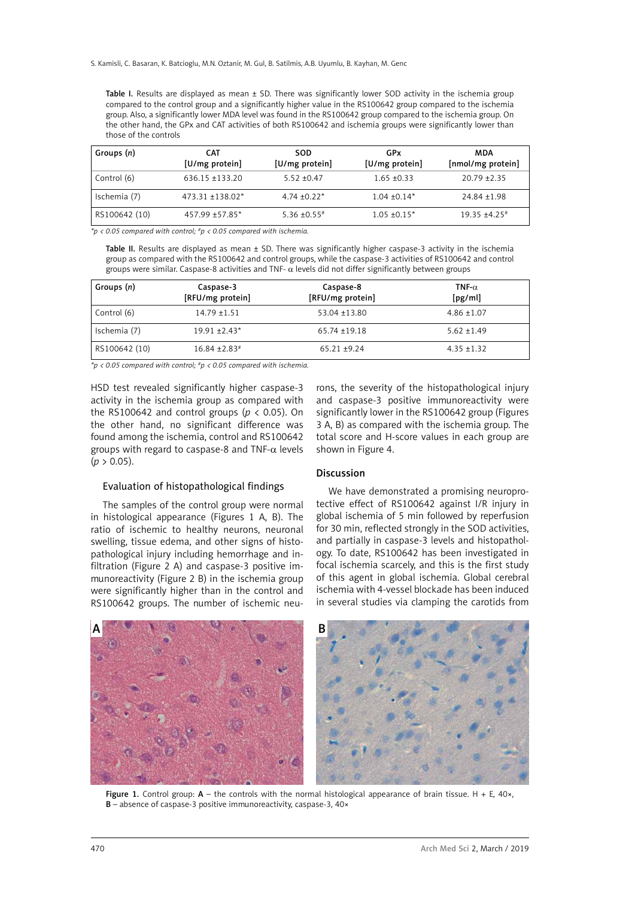S. Kamisli, C. Basaran, K. Batcioglu, M.N. Oztanir, M. Gul, B. Satilmis, A.B. Uyumlu, B. Kayhan, M. Genc

Table I. Results are displayed as mean  $\pm$  SD. There was significantly lower SOD activity in the ischemia group compared to the control group and a significantly higher value in the RS100642 group compared to the ischemia group. Also, a significantly lower MDA level was found in the RS100642 group compared to the ischemia group. On the other hand, the GPx and CAT activities of both RS100642 and ischemia groups were significantly lower than those of the controls

| Groups (n)    | <b>CAT</b><br>[U/mg protein] | SOD<br>[U/mg protein]        | GPx<br>[U/mg protein] | MDA<br>[nmol/mg protein] |
|---------------|------------------------------|------------------------------|-----------------------|--------------------------|
| Control (6)   | $636.15 + 133.20$            | $5.52 + 0.47$                | $1.65 \pm 0.33$       | $20.79 + 2.35$           |
| Ischemia (7)  | $473.31 + 138.02*$           | $4.74 + 0.22*$               | $1.04 \pm 0.14*$      | $24.84 \pm 1.98$         |
| RS100642 (10) | $457.99 + 57.85*$            | $5.36 \pm 0.55$ <sup>#</sup> | $1.05 \pm 0.15^*$     | $19.35 + 4.25$           |

*\*p < 0.05 compared with control; #p < 0.05 compared with ischemia.*

Table II. Results are displayed as mean  $\pm$  SD. There was significantly higher caspase-3 activity in the ischemia group as compared with the RS100642 and control groups, while the caspase-3 activities of RS100642 and control groups were similar. Caspase-8 activities and TNF- α levels did not differ significantly between groups

| Groups (n)    | Caspase-3<br>[RFU/mg protein] | Caspase-8<br>[RFU/mg protein] | TNF- $\alpha$<br>[pg/ml] |
|---------------|-------------------------------|-------------------------------|--------------------------|
| Control (6)   | $14.79 + 1.51$                | $53.04 + 13.80$               | $4.86 \pm 1.07$          |
| Ischemia (7)  | $19.91 + 2.43*$               | $65.74 + 19.18$               | $5.62 + 1.49$            |
| RS100642 (10) | $16.84 + 2.83$ <sup>#</sup>   | $65.21 + 9.24$                | $4.35 + 1.32$            |

*\*p < 0.05 compared with control; #p < 0.05 compared with ischemia.*

HSD test revealed significantly higher caspase-3 activity in the ischemia group as compared with the RS100642 and control groups ( $p < 0.05$ ). On the other hand, no significant difference was found among the ischemia, control and RS100642 groups with regard to caspase-8 and TNF- $\alpha$  levels  $(p > 0.05)$ .

## Evaluation of histopathological findings

The samples of the control group were normal in histological appearance (Figures 1 A, B). The ratio of ischemic to healthy neurons, neuronal swelling, tissue edema, and other signs of histopathological injury including hemorrhage and infiltration (Figure 2 A) and caspase-3 positive immunoreactivity (Figure 2 B) in the ischemia group were significantly higher than in the control and RS100642 groups. The number of ischemic neu-

rons, the severity of the histopathological injury and caspase-3 positive immunoreactivity were significantly lower in the RS100642 group (Figures 3 A, B) as compared with the ischemia group. The total score and H-score values in each group are shown in Figure 4.

# Discussion

We have demonstrated a promising neuroprotective effect of RS100642 against I/R injury in global ischemia of 5 min followed by reperfusion for 30 min, reflected strongly in the SOD activities, and partially in caspase-3 levels and histopathology. To date, RS100642 has been investigated in focal ischemia scarcely, and this is the first study of this agent in global ischemia. Global cerebral ischemia with 4-vessel blockade has been induced in several studies via clamping the carotids from



Figure 1. Control group:  $A$  – the controls with the normal histological appearance of brain tissue. H + E, 40 $\times$ , B – absence of caspase-3 positive immunoreactivity, caspase-3, 40×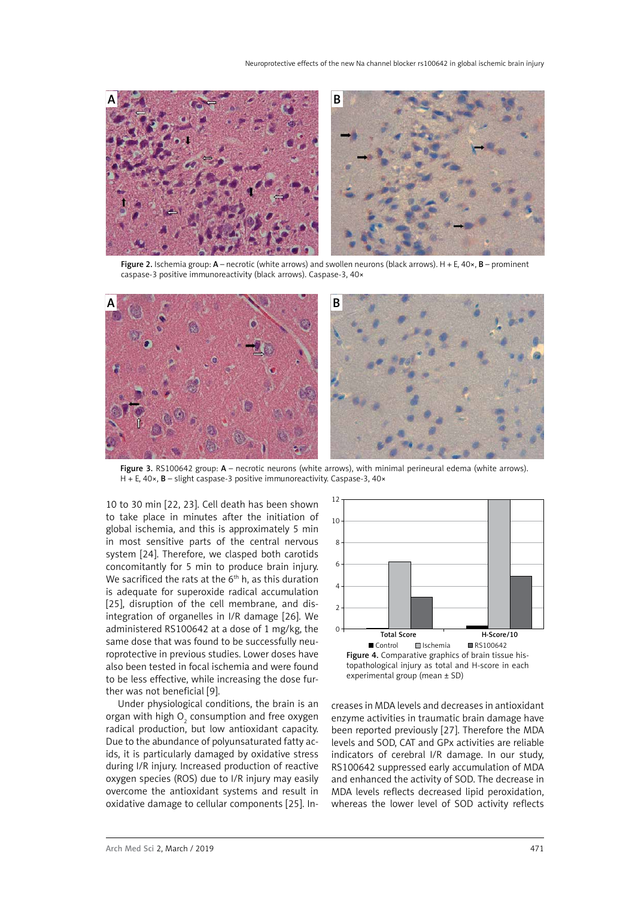

Figure 2. Ischemia group:  $A$  – necrotic (white arrows) and swollen neurons (black arrows).  $H + E$ ,  $40 \times$ ,  $B$  – prominent caspase-3 positive immunoreactivity (black arrows). Caspase-3, 40×



Figure 3. RS100642 group: A – necrotic neurons (white arrows), with minimal perineural edema (white arrows). H + E, 40×, **B** – slight caspase-3 positive immunoreactivity. Caspase-3, 40×

10 to 30 min [22, 23]. Cell death has been shown to take place in minutes after the initiation of global ischemia, and this is approximately 5 min in most sensitive parts of the central nervous system [24]. Therefore, we clasped both carotids concomitantly for 5 min to produce brain injury. We sacrificed the rats at the 6<sup>th</sup> h, as this duration is adequate for superoxide radical accumulation [25], disruption of the cell membrane, and disintegration of organelles in I/R damage [26]. We administered RS100642 at a dose of 1 mg/kg, the same dose that was found to be successfully neuroprotective in previous studies. Lower doses have also been tested in focal ischemia and were found to be less effective, while increasing the dose further was not beneficial [9].

Under physiological conditions, the brain is an organ with high  ${\mathsf O}_2$  consumption and free oxygen radical production, but low antioxidant capacity. Due to the abundance of polyunsaturated fatty acids, it is particularly damaged by oxidative stress during I/R injury. Increased production of reactive oxygen species (ROS) due to I/R injury may easily overcome the antioxidant systems and result in oxidative damage to cellular components [25]. In-



creases in MDA levels and decreases in antioxidant enzyme activities in traumatic brain damage have been reported previously [27]. Therefore the MDA levels and SOD, CAT and GPx activities are reliable indicators of cerebral I/R damage. In our study, RS100642 suppressed early accumulation of MDA and enhanced the activity of SOD. The decrease in MDA levels reflects decreased lipid peroxidation, whereas the lower level of SOD activity reflects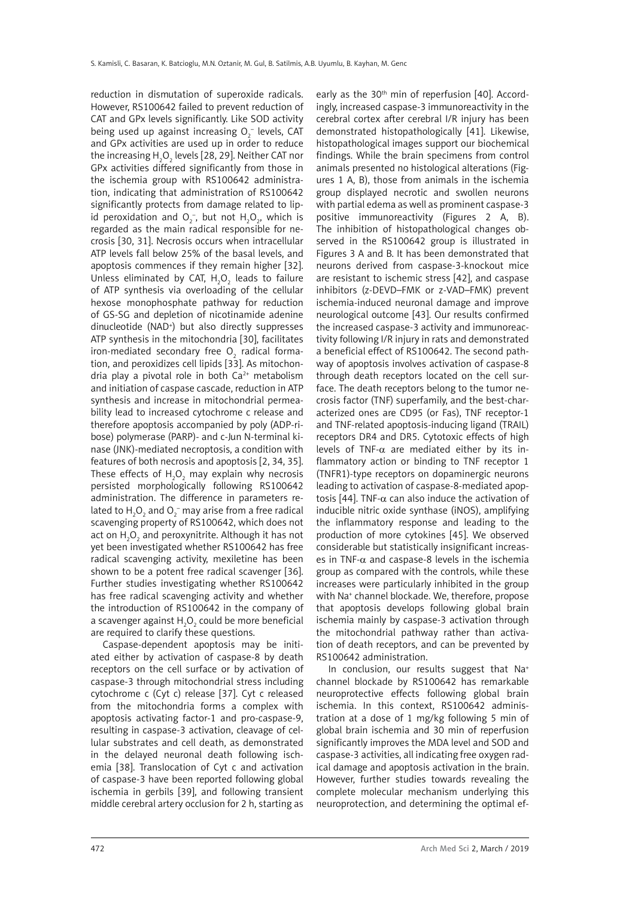reduction in dismutation of superoxide radicals. However, RS100642 failed to prevent reduction of CAT and GPx levels significantly. Like SOD activity being used up against increasing  $O_2^-$  levels, CAT and GPx activities are used up in order to reduce the increasing H $_{\rm 2}$ O $_{\rm 2}$  levels [28, 29]. Neither CAT nor GPx activities differed significantly from those in the ischemia group with RS100642 administration, indicating that administration of RS100642 significantly protects from damage related to lipid peroxidation and  $O_2^-$ , but not  $H_2O_2$ , which is regarded as the main radical responsible for necrosis [30, 31]. Necrosis occurs when intracellular ATP levels fall below 25% of the basal levels, and apoptosis commences if they remain higher [32]. Unless eliminated by CAT,  $H_2O_2$  leads to failure of ATP synthesis via overloading of the cellular hexose monophosphate pathway for reduction of GS-SG and depletion of nicotinamide adenine dinucleotide (NAD+ ) but also directly suppresses ATP synthesis in the mitochondria [30], facilitates iron-mediated secondary free  $\mathrm{O}_2^{\mathrm{}}$  radical formation, and peroxidizes cell lipids [33]. As mitochondria play a pivotal role in both  $Ca<sup>2+</sup>$  metabolism and initiation of caspase cascade, reduction in ATP synthesis and increase in mitochondrial permeability lead to increased cytochrome c release and therefore apoptosis accompanied by poly (ADP-ribose) polymerase (PARP)- and c-Jun N-terminal kinase (JNK)-mediated necroptosis, a condition with features of both necrosis and apoptosis [2, 34, 35]. These effects of  $H_2O_2$  may explain why necrosis persisted morphologically following RS100642 administration. The difference in parameters related to  ${\sf H}_{\tiny 2} {\sf O}_{\tiny 2}$  and  ${\sf O}_{\tiny 2}^-$  may arise from a free radical scavenging property of RS100642, which does not act on  ${\sf H_2O_2}$  and peroxynitrite. Although it has not yet been investigated whether RS100642 has free radical scavenging activity, mexiletine has been shown to be a potent free radical scavenger [36]. Further studies investigating whether RS100642 has free radical scavenging activity and whether the introduction of RS100642 in the company of a scavenger against  ${\sf H}_{{\mathfrak z}}{\sf O}_{{\mathfrak z}}$  could be more beneficial are required to clarify these questions.

Caspase-dependent apoptosis may be initiated either by activation of caspase-8 by death receptors on the cell surface or by activation of caspase-3 through mitochondrial stress including cytochrome c (Cyt c) release [37]. Cyt c released from the mitochondria forms a complex with apoptosis activating factor-1 and pro-caspase-9, resulting in caspase-3 activation, cleavage of cellular substrates and cell death, as demonstrated in the delayed neuronal death following ischemia [38]. Translocation of Cyt c and activation of caspase-3 have been reported following global ischemia in gerbils [39], and following transient middle cerebral artery occlusion for 2 h, starting as

early as the 30<sup>th</sup> min of reperfusion [40]. Accordingly, increased caspase-3 immunoreactivity in the cerebral cortex after cerebral I/R injury has been demonstrated histopathologically [41]. Likewise, histopathological images support our biochemical findings. While the brain specimens from control animals presented no histological alterations (Figures 1 A, B), those from animals in the ischemia group displayed necrotic and swollen neurons with partial edema as well as prominent caspase-3 positive immunoreactivity (Figures 2 A, B). The inhibition of histopathological changes observed in the RS100642 group is illustrated in Figures 3 A and B. It has been demonstrated that neurons derived from caspase-3-knockout mice are resistant to ischemic stress [42], and caspase inhibitors (z-DEVD–FMK or z-VAD–FMK) prevent ischemia-induced neuronal damage and improve neurological outcome [43]. Our results confirmed the increased caspase-3 activity and immunoreactivity following I/R injury in rats and demonstrated a beneficial effect of RS100642. The second pathway of apoptosis involves activation of caspase-8 through death receptors located on the cell surface. The death receptors belong to the tumor necrosis factor (TNF) superfamily, and the best-characterized ones are CD95 (or Fas), TNF receptor-1 and TNF-related apoptosis-inducing ligand (TRAIL) receptors DR4 and DR5. Cytotoxic effects of high levels of TNF-α are mediated either by its inflammatory action or binding to TNF receptor 1 (TNFR1)-type receptors on dopaminergic neurons leading to activation of caspase-8-mediated apoptosis [44]. TNF-α can also induce the activation of inducible nitric oxide synthase (iNOS), amplifying the inflammatory response and leading to the production of more cytokines [45]. We observed considerable but statistically insignificant increases in TNF- $\alpha$  and caspase-8 levels in the ischemia group as compared with the controls, while these increases were particularly inhibited in the group with Na+ channel blockade. We, therefore, propose that apoptosis develops following global brain ischemia mainly by caspase-3 activation through the mitochondrial pathway rather than activation of death receptors, and can be prevented by RS100642 administration.

In conclusion, our results suggest that Na+ channel blockade by RS100642 has remarkable neuroprotective effects following global brain ischemia. In this context, RS100642 administration at a dose of 1 mg/kg following 5 min of global brain ischemia and 30 min of reperfusion significantly improves the MDA level and SOD and caspase-3 activities, all indicating free oxygen radical damage and apoptosis activation in the brain. However, further studies towards revealing the complete molecular mechanism underlying this neuroprotection, and determining the optimal ef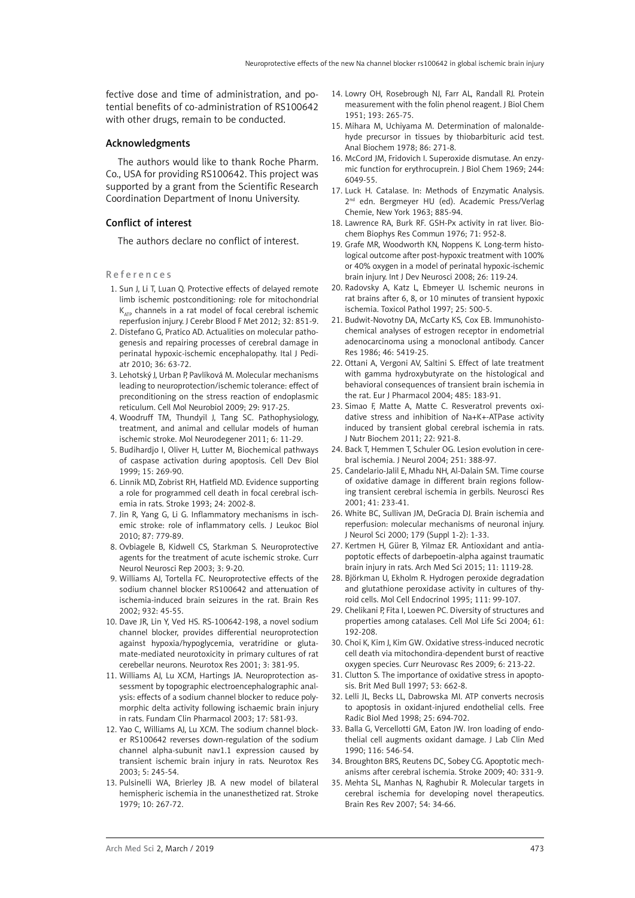fective dose and time of administration, and potential benefits of co-administration of RS100642 with other drugs, remain to be conducted.

## Acknowledgments

The authors would like to thank Roche Pharm. Co., USA for providing RS100642. This project was supported by a grant from the Scientific Research Coordination Department of Inonu University.

## Conflict of interest

The authors declare no conflict of interest.

### References

- 1. Sun J, Li T, Luan Q. Protective effects of delayed remote limb ischemic postconditioning: role for mitochondrial  $K_{ATP}$  channels in a rat model of focal cerebral ischemic reperfusion injury. J Cerebr Blood F Met 2012; 32: 851-9.
- 2. Distefano G, Pratico AD. Actualities on molecular pathogenesis and repairing processes of cerebral damage in perinatal hypoxic-ischemic encephalopathy. Ital J Pediatr 2010; 36: 63-72.
- 3. Lehotský J, Urban P, Pavlíková M. Molecular mechanisms leading to neuroprotection/ischemic tolerance: effect of preconditioning on the stress reaction of endoplasmic reticulum. Cell Mol Neurobiol 2009; 29: 917-25.
- 4. Woodruff TM, Thundyil J, Tang SC. Pathophysiology, treatment, and animal and cellular models of human ischemic stroke. Mol Neurodegener 2011; 6: 11-29.
- 5. Budihardjo I, Oliver H, Lutter M, Biochemical pathways of caspase activation during apoptosis. Cell Dev Biol 1999; 15: 269-90.
- 6. Linnik MD, Zobrist RH, Hatfield MD. Evidence supporting a role for programmed cell death in focal cerebral ischemia in rats. Stroke 1993; 24: 2002-8.
- 7. Jin R, Yang G, Li G. Inflammatory mechanisms in ischemic stroke: role of inflammatory cells. J Leukoc Biol 2010; 87: 779-89.
- 8. Ovbiagele B, Kidwell CS, Starkman S. Neuroprotective agents for the treatment of acute ischemic stroke. Curr Neurol Neurosci Rep 2003; 3: 9-20.
- 9. Williams AJ, Tortella FC. Neuroprotective effects of the sodium channel blocker RS100642 and attenuation of ischemia-induced brain seizures in the rat. Brain Res 2002; 932: 45-55.
- 10. Dave JR, Lin Y, Ved HS. RS-100642-198, a novel sodium channel blocker, provides differential neuroprotection against hypoxia/hypoglycemia, veratridine or glutamate-mediated neurotoxicity in primary cultures of rat cerebellar neurons. Neurotox Res 2001; 3: 381-95.
- 11. Williams AJ, Lu XCM, Hartings JA. Neuroprotection assessment by topographic electroencephalographic analysis: effects of a sodium channel blocker to reduce polymorphic delta activity following ischaemic brain injury in rats. Fundam Clin Pharmacol 2003; 17: 581-93.
- 12. Yao C, Williams AJ, Lu XCM. The sodium channel blocker RS100642 reverses down-regulation of the sodium channel alpha-subunit nav1.1 expression caused by transient ischemic brain injury in rats. Neurotox Res 2003; 5: 245-54.
- 13. Pulsinelli WA, Brierley JB. A new model of bilateral hemispheric ischemia in the unanesthetized rat. Stroke 1979; 10: 267-72.
- 14. Lowry OH, Rosebrough NJ, Farr AL, Randall RJ. Protein measurement with the folin phenol reagent. J Biol Chem 1951; 193: 265-75.
- 15. Mihara M, Uchiyama M. Determination of malonaldehyde precursor in tissues by thiobarbituric acid test. Anal Biochem 1978; 86: 271-8.
- 16. McCord JM, Fridovich I. Superoxide dismutase. An enzymic function for erythrocuprein. J Biol Chem 1969; 244: 6049-55.
- 17. Luck H. Catalase. In: Methods of Enzymatic Analysis. 2<sup>nd</sup> edn. Bergmeyer HU (ed). Academic Press/Verlag Chemie, New York 1963; 885-94.
- 18. Lawrence RA, Burk RF. GSH-Px activity in rat liver. Biochem Biophys Res Commun 1976; 71: 952-8.
- 19. Grafe MR, Woodworth KN, Noppens K. Long-term histological outcome after post-hypoxic treatment with 100% or 40% oxygen in a model of perinatal hypoxic-ischemic brain injury. Int J Dev Neurosci 2008; 26: 119-24.
- 20. Radovsky A, Katz L, Ebmeyer U. Ischemic neurons in rat brains after 6, 8, or 10 minutes of transient hypoxic ischemia. Toxicol Pathol 1997; 25: 500-5.
- 21. Budwit-Novotny DA, McCarty KS, Cox EB. Immunohistochemical analyses of estrogen receptor in endometrial adenocarcinoma using a monoclonal antibody. Cancer Res 1986; 46: 5419-25.
- 22. Ottani A, Vergoni AV, Saltini S. Effect of late treatment with gamma hydroxybutyrate on the histological and behavioral consequences of transient brain ischemia in the rat. Eur J Pharmacol 2004; 485: 183-91.
- 23. Simao F, Matte A, Matte C. Resveratrol prevents oxidative stress and inhibition of Na+K+-ATPase activity induced by transient global cerebral ischemia in rats. J Nutr Biochem 2011; 22: 921-8.
- 24. Back T, Hemmen T, Schuler OG. Lesion evolution in cerebral ischemia. J Neurol 2004; 251: 388-97.
- 25. Candelario-Jalil E, Mhadu NH, Al-Dalain SM. Time course of oxidative damage in different brain regions following transient cerebral ischemia in gerbils. Neurosci Res 2001; 41: 233-41.
- 26. White BC, Sullivan JM, DeGracia DJ. Brain ischemia and reperfusion: molecular mechanisms of neuronal injury. J Neurol Sci 2000; 179 (Suppl 1-2): 1-33.
- 27. Kertmen H, Gürer B, Yilmaz ER. Antioxidant and antiapoptotic effects of darbepoetin-alpha against traumatic brain injury in rats. Arch Med Sci 2015; 11: 1119-28.
- 28. Björkman U, Ekholm R. Hydrogen peroxide degradation and glutathione peroxidase activity in cultures of thyroid cells. Mol Cell Endocrinol 1995; 111: 99-107.
- 29. Chelikani P, Fita I, Loewen PC. Diversity of structures and properties among catalases. Cell Mol Life Sci 2004; 61: 192-208.
- 30. Choi K, Kim J, Kim GW. Oxidative stress-induced necrotic cell death via mitochondira-dependent burst of reactive oxygen species. Curr Neurovasc Res 2009; 6: 213-22.
- 31. Clutton S. The importance of oxidative stress in apoptosis. Brit Med Bull 1997; 53: 662-8.
- 32. Lelli JL, Becks LL, Dabrowska MI. ATP converts necrosis to apoptosis in oxidant-injured endothelial cells. Free Radic Biol Med 1998; 25: 694-702.
- 33. Balla G, Vercellotti GM, Eaton JW. Iron loading of endothelial cell augments oxidant damage. J Lab Clin Med 1990; 116: 546-54.
- 34. Broughton BRS, Reutens DC, Sobey CG. Apoptotic mechanisms after cerebral ischemia. Stroke 2009; 40: 331-9.
- 35. Mehta SL, Manhas N, Raghubir R. Molecular targets in cerebral ischemia for developing novel therapeutics. Brain Res Rev 2007; 54: 34-66.